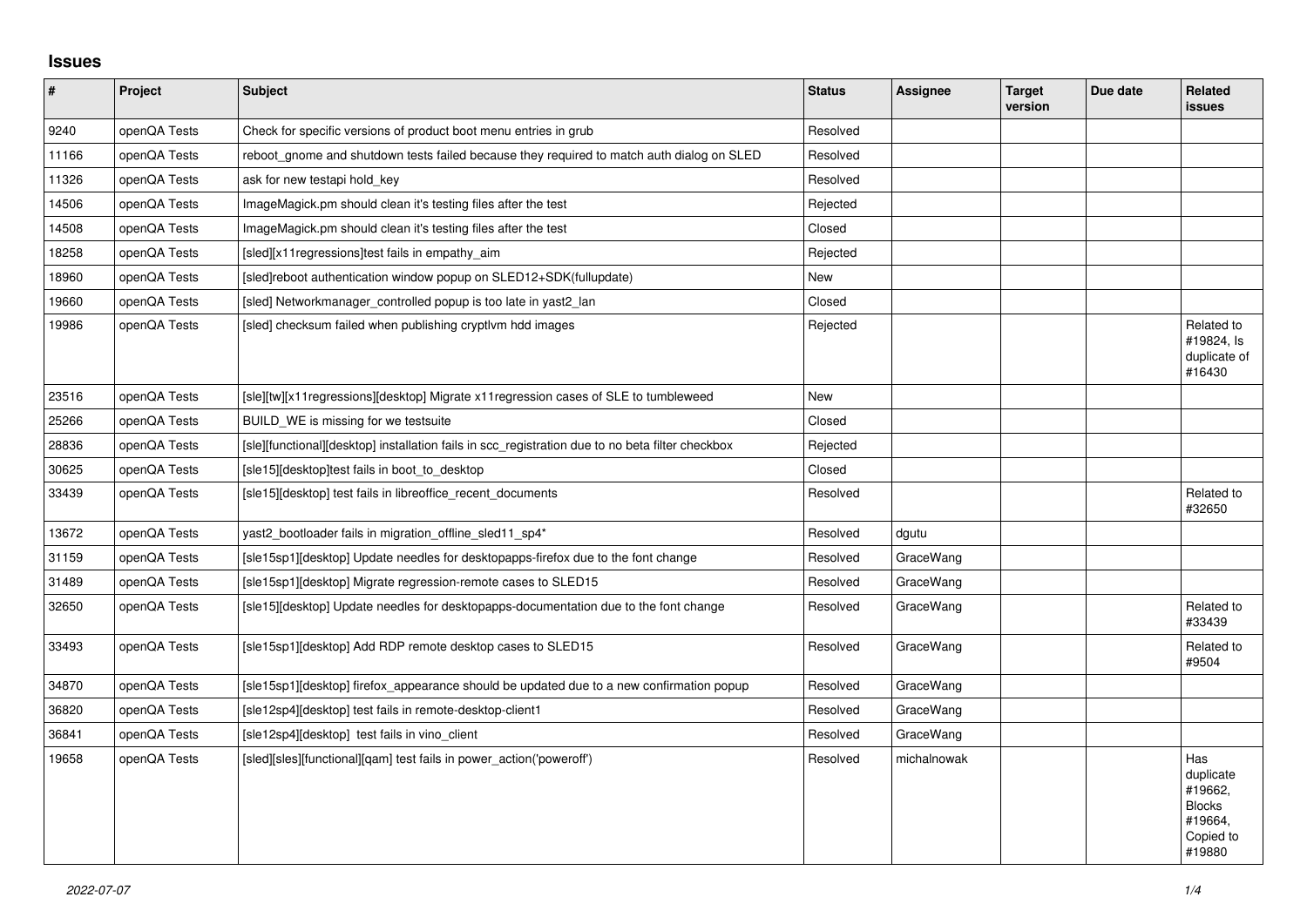## **Issues**

| $\vert$ # | Project      | <b>Subject</b>                                                                                   | <b>Status</b> | Assignee    | <b>Target</b><br>version | Due date | <b>Related</b><br><b>issues</b>                                                |
|-----------|--------------|--------------------------------------------------------------------------------------------------|---------------|-------------|--------------------------|----------|--------------------------------------------------------------------------------|
| 9240      | openQA Tests | Check for specific versions of product boot menu entries in grub                                 | Resolved      |             |                          |          |                                                                                |
| 11166     | openQA Tests | reboot_gnome and shutdown tests failed because they required to match auth dialog on SLED        | Resolved      |             |                          |          |                                                                                |
| 11326     | openQA Tests | ask for new testapi hold key                                                                     | Resolved      |             |                          |          |                                                                                |
| 14506     | openQA Tests | ImageMagick.pm should clean it's testing files after the test                                    | Rejected      |             |                          |          |                                                                                |
| 14508     | openQA Tests | ImageMagick.pm should clean it's testing files after the test                                    | Closed        |             |                          |          |                                                                                |
| 18258     | openQA Tests | [sled][x11 regressions]test fails in empathy aim                                                 | Rejected      |             |                          |          |                                                                                |
| 18960     | openQA Tests | [sled]reboot authentication window popup on SLED12+SDK(fullupdate)                               | New           |             |                          |          |                                                                                |
| 19660     | openQA Tests | [sled] Networkmanager_controlled popup is too late in yast2_lan                                  | Closed        |             |                          |          |                                                                                |
| 19986     | openQA Tests | [sled] checksum failed when publishing cryptlvm hdd images                                       | Rejected      |             |                          |          | Related to<br>#19824, Is<br>duplicate of<br>#16430                             |
| 23516     | openQA Tests | [sle][tw][x11regressions][desktop] Migrate x11regression cases of SLE to tumbleweed              | New           |             |                          |          |                                                                                |
| 25266     | openQA Tests | BUILD WE is missing for we testsuite                                                             | Closed        |             |                          |          |                                                                                |
| 28836     | openQA Tests | [sle][functional][desktop] installation fails in scc registration due to no beta filter checkbox | Rejected      |             |                          |          |                                                                                |
| 30625     | openQA Tests | [sle15][desktop]test fails in boot to desktop                                                    | Closed        |             |                          |          |                                                                                |
| 33439     | openQA Tests | [sle15][desktop] test fails in libreoffice recent documents                                      | Resolved      |             |                          |          | Related to<br>#32650                                                           |
| 13672     | openQA Tests | yast2_bootloader fails in migration_offline_sled11_sp4*                                          | Resolved      | dgutu       |                          |          |                                                                                |
| 31159     | openQA Tests | [sle15sp1][desktop] Update needles for desktopapps-firefox due to the font change                | Resolved      | GraceWang   |                          |          |                                                                                |
| 31489     | openQA Tests | [sle15sp1][desktop] Migrate regression-remote cases to SLED15                                    | Resolved      | GraceWang   |                          |          |                                                                                |
| 32650     | openQA Tests | [sle15][desktop] Update needles for desktopapps-documentation due to the font change             | Resolved      | GraceWang   |                          |          | Related to<br>#33439                                                           |
| 33493     | openQA Tests | [sle15sp1][desktop] Add RDP remote desktop cases to SLED15                                       | Resolved      | GraceWang   |                          |          | Related to<br>#9504                                                            |
| 34870     | openQA Tests | [sle15sp1][desktop] firefox appearance should be updated due to a new confirmation popup         | Resolved      | GraceWang   |                          |          |                                                                                |
| 36820     | openQA Tests | [sle12sp4][desktop] test fails in remote-desktop-client1                                         | Resolved      | GraceWang   |                          |          |                                                                                |
| 36841     | openQA Tests | [sle12sp4][desktop] test fails in vino_client                                                    | Resolved      | GraceWang   |                          |          |                                                                                |
| 19658     | openQA Tests | [sled][sles][functional][qam] test fails in power_action('poweroff')                             | Resolved      | michalnowak |                          |          | Has<br>duplicate<br>#19662.<br><b>Blocks</b><br>#19664,<br>Copied to<br>#19880 |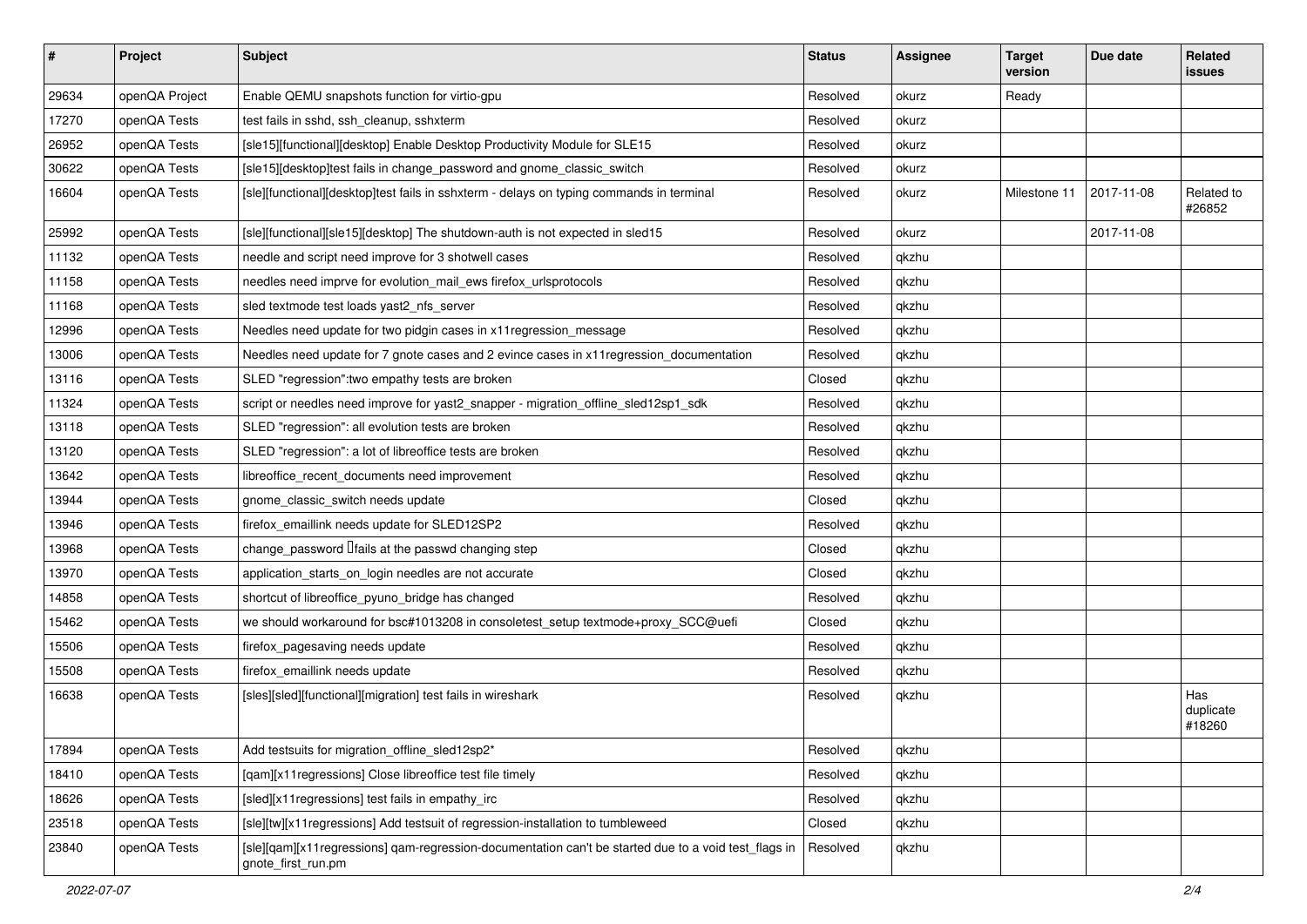| $\vert$ # | Project        | <b>Subject</b>                                                                                                             | <b>Status</b> | <b>Assignee</b> | <b>Target</b><br>version | Due date   | Related<br><b>issues</b>   |
|-----------|----------------|----------------------------------------------------------------------------------------------------------------------------|---------------|-----------------|--------------------------|------------|----------------------------|
| 29634     | openQA Project | Enable QEMU snapshots function for virtio-gpu                                                                              | Resolved      | okurz           | Ready                    |            |                            |
| 17270     | openQA Tests   | test fails in sshd, ssh_cleanup, sshxterm                                                                                  | Resolved      | okurz           |                          |            |                            |
| 26952     | openQA Tests   | [sle15][functional][desktop] Enable Desktop Productivity Module for SLE15                                                  | Resolved      | okurz           |                          |            |                            |
| 30622     | openQA Tests   | [sle15][desktop]test fails in change_password and gnome_classic_switch                                                     | Resolved      | okurz           |                          |            |                            |
| 16604     | openQA Tests   | [sle][functional][desktop]test fails in sshxterm - delays on typing commands in terminal                                   | Resolved      | okurz           | Milestone 11             | 2017-11-08 | Related to<br>#26852       |
| 25992     | openQA Tests   | [sle][functional][sle15][desktop] The shutdown-auth is not expected in sled15                                              | Resolved      | okurz           |                          | 2017-11-08 |                            |
| 11132     | openQA Tests   | needle and script need improve for 3 shotwell cases                                                                        | Resolved      | qkzhu           |                          |            |                            |
| 11158     | openQA Tests   | needles need imprve for evolution_mail_ews firefox_urlsprotocols                                                           | Resolved      | qkzhu           |                          |            |                            |
| 11168     | openQA Tests   | sled textmode test loads yast2_nfs_server                                                                                  | Resolved      | qkzhu           |                          |            |                            |
| 12996     | openQA Tests   | Needles need update for two pidgin cases in x11 regression_message                                                         | Resolved      | qkzhu           |                          |            |                            |
| 13006     | openQA Tests   | Needles need update for 7 gnote cases and 2 evince cases in x11 regression_documentation                                   | Resolved      | qkzhu           |                          |            |                            |
| 13116     | openQA Tests   | SLED "regression": two empathy tests are broken                                                                            | Closed        | qkzhu           |                          |            |                            |
| 11324     | openQA Tests   | script or needles need improve for yast2_snapper - migration_offline_sled12sp1_sdk                                         | Resolved      | qkzhu           |                          |            |                            |
| 13118     | openQA Tests   | SLED "regression": all evolution tests are broken                                                                          | Resolved      | qkzhu           |                          |            |                            |
| 13120     | openQA Tests   | SLED "regression": a lot of libreoffice tests are broken                                                                   | Resolved      | qkzhu           |                          |            |                            |
| 13642     | openQA Tests   | libreoffice_recent_documents need improvement                                                                              | Resolved      | qkzhu           |                          |            |                            |
| 13944     | openQA Tests   | gnome classic switch needs update                                                                                          | Closed        | qkzhu           |                          |            |                            |
| 13946     | openQA Tests   | firefox_emaillink needs update for SLED12SP2                                                                               | Resolved      | qkzhu           |                          |            |                            |
| 13968     | openQA Tests   | change_password <i>liails</i> at the passwd changing step                                                                  | Closed        | qkzhu           |                          |            |                            |
| 13970     | openQA Tests   | application_starts_on_login needles are not accurate                                                                       | Closed        | qkzhu           |                          |            |                            |
| 14858     | openQA Tests   | shortcut of libreoffice_pyuno_bridge has changed                                                                           | Resolved      | qkzhu           |                          |            |                            |
| 15462     | openQA Tests   | we should workaround for bsc#1013208 in consoletest_setup textmode+proxy_SCC@uefi                                          | Closed        | qkzhu           |                          |            |                            |
| 15506     | openQA Tests   | firefox_pagesaving needs update                                                                                            | Resolved      | qkzhu           |                          |            |                            |
| 15508     | openQA Tests   | firefox_emaillink needs update                                                                                             | Resolved      | qkzhu           |                          |            |                            |
| 16638     | openQA Tests   | [sles][sled][functional][migration] test fails in wireshark                                                                | Resolved      | qkzhu           |                          |            | Has<br>duplicate<br>#18260 |
| 17894     | openQA Tests   | Add testsuits for migration_offline_sled12sp2*                                                                             | Resolved      | qkzhu           |                          |            |                            |
| 18410     | openQA Tests   | [qam][x11regressions] Close libreoffice test file timely                                                                   | Resolved      | qkzhu           |                          |            |                            |
| 18626     | openQA Tests   | [sled][x11regressions] test fails in empathy_irc                                                                           | Resolved      | qkzhu           |                          |            |                            |
| 23518     | openQA Tests   | [sle][tw][x11regressions] Add testsuit of regression-installation to tumbleweed                                            | Closed        | qkzhu           |                          |            |                            |
| 23840     | openQA Tests   | [sle][qam][x11regressions] qam-regression-documentation can't be started due to a void test_flags in<br>gnote_first_run.pm | Resolved      | qkzhu           |                          |            |                            |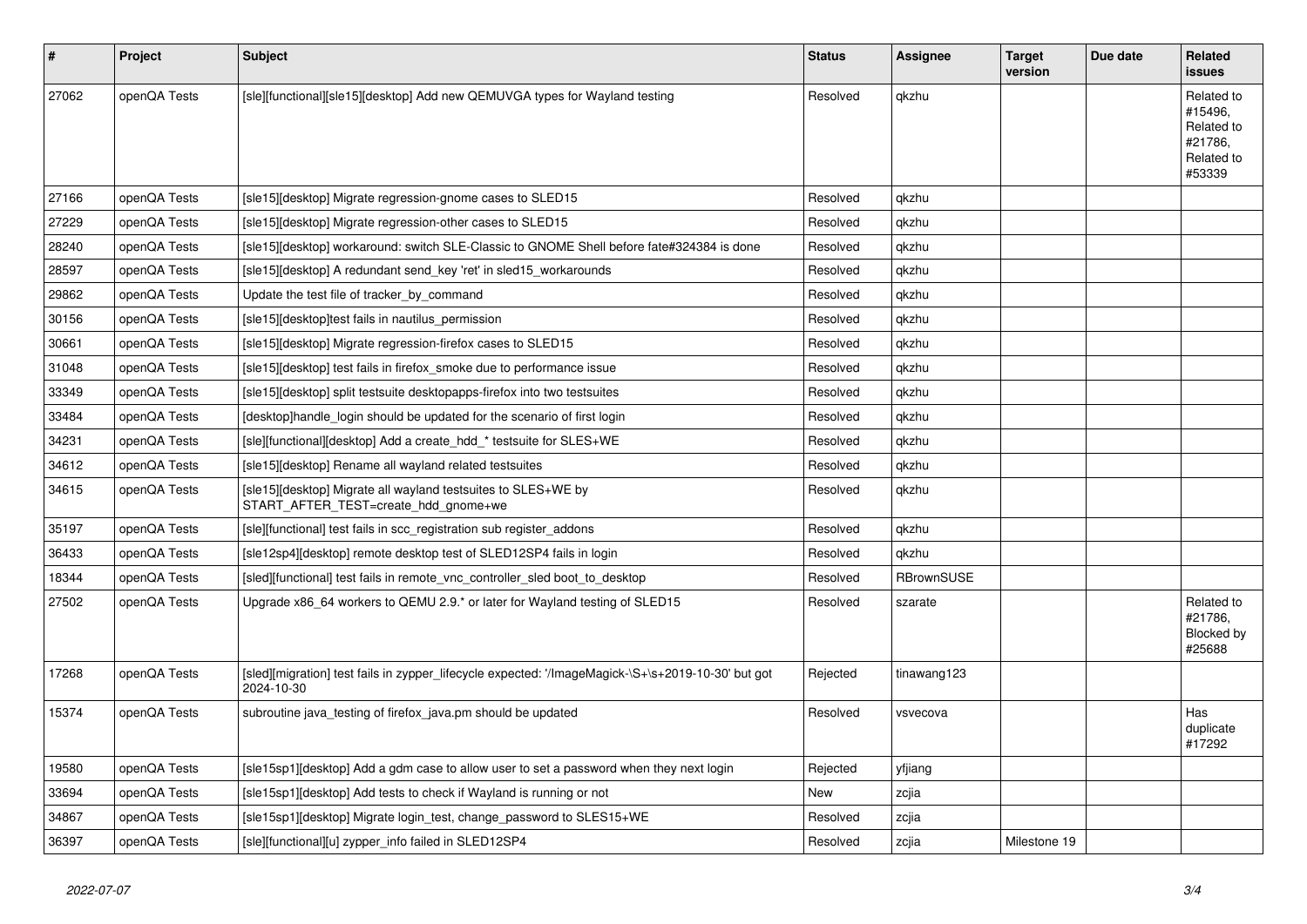| #     | Project      | <b>Subject</b>                                                                                                   | <b>Status</b> | Assignee          | <b>Target</b><br>version | Due date | Related<br><b>issues</b>                                               |
|-------|--------------|------------------------------------------------------------------------------------------------------------------|---------------|-------------------|--------------------------|----------|------------------------------------------------------------------------|
| 27062 | openQA Tests | [sle][functional][sle15][desktop] Add new QEMUVGA types for Wayland testing                                      | Resolved      | qkzhu             |                          |          | Related to<br>#15496,<br>Related to<br>#21786.<br>Related to<br>#53339 |
| 27166 | openQA Tests | [sle15][desktop] Migrate regression-gnome cases to SLED15                                                        | Resolved      | qkzhu             |                          |          |                                                                        |
| 27229 | openQA Tests | [sle15][desktop] Migrate regression-other cases to SLED15                                                        | Resolved      | qkzhu             |                          |          |                                                                        |
| 28240 | openQA Tests | [sle15][desktop] workaround: switch SLE-Classic to GNOME Shell before fate#324384 is done                        | Resolved      | qkzhu             |                          |          |                                                                        |
| 28597 | openQA Tests | [sle15][desktop] A redundant send key 'ret' in sled15 workarounds                                                | Resolved      | qkzhu             |                          |          |                                                                        |
| 29862 | openQA Tests | Update the test file of tracker by command                                                                       | Resolved      | qkzhu             |                          |          |                                                                        |
| 30156 | openQA Tests | [sle15][desktop]test fails in nautilus_permission                                                                | Resolved      | qkzhu             |                          |          |                                                                        |
| 30661 | openQA Tests | [sle15][desktop] Migrate regression-firefox cases to SLED15                                                      | Resolved      | qkzhu             |                          |          |                                                                        |
| 31048 | openQA Tests | [sle15][desktop] test fails in firefox smoke due to performance issue                                            | Resolved      | qkzhu             |                          |          |                                                                        |
| 33349 | openQA Tests | [sle15][desktop] split testsuite desktopapps-firefox into two testsuites                                         | Resolved      | qkzhu             |                          |          |                                                                        |
| 33484 | openQA Tests | desktop]handle login should be updated for the scenario of first login                                           | Resolved      | qkzhu             |                          |          |                                                                        |
| 34231 | openQA Tests | [sle][functional][desktop] Add a create_hdd_* testsuite for SLES+WE                                              | Resolved      | qkzhu             |                          |          |                                                                        |
| 34612 | openQA Tests | [sle15][desktop] Rename all wayland related testsuites                                                           | Resolved      | qkzhu             |                          |          |                                                                        |
| 34615 | openQA Tests | [sle15][desktop] Migrate all wayland testsuites to SLES+WE by<br>START AFTER TEST=create hdd gnome+we            | Resolved      | qkzhu             |                          |          |                                                                        |
| 35197 | openQA Tests | [sle][functional] test fails in scc registration sub register addons                                             | Resolved      | qkzhu             |                          |          |                                                                        |
| 36433 | openQA Tests | [sle12sp4][desktop] remote desktop test of SLED12SP4 fails in login                                              | Resolved      | qkzhu             |                          |          |                                                                        |
| 18344 | openQA Tests | [sled][functional] test fails in remote_vnc_controller_sled boot_to_desktop                                      | Resolved      | <b>RBrownSUSE</b> |                          |          |                                                                        |
| 27502 | openQA Tests | Upgrade x86_64 workers to QEMU 2.9.* or later for Wayland testing of SLED15                                      | Resolved      | szarate           |                          |          | Related to<br>#21786,<br>Blocked by<br>#25688                          |
| 17268 | openQA Tests | [sled][migration] test fails in zypper_lifecycle expected: '/ImageMagick-\S+\s+2019-10-30' but got<br>2024-10-30 | Rejected      | tinawang123       |                          |          |                                                                        |
| 15374 | openQA Tests | subroutine java_testing of firefox_java.pm should be updated                                                     | Resolved      | vsvecova          |                          |          | Has<br>duplicate<br>#17292                                             |
| 19580 | openQA Tests | [sle15sp1][desktop] Add a gdm case to allow user to set a password when they next login                          | Rejected      | yfjiang           |                          |          |                                                                        |
| 33694 | openQA Tests | [sle15sp1][desktop] Add tests to check if Wayland is running or not                                              | New           | zcjia             |                          |          |                                                                        |
| 34867 | openQA Tests | [sle15sp1][desktop] Migrate login_test, change_password to SLES15+WE                                             | Resolved      | zcjia             |                          |          |                                                                        |
| 36397 | openQA Tests | [sle][functional][u] zypper_info failed in SLED12SP4                                                             | Resolved      | zcjia             | Milestone 19             |          |                                                                        |